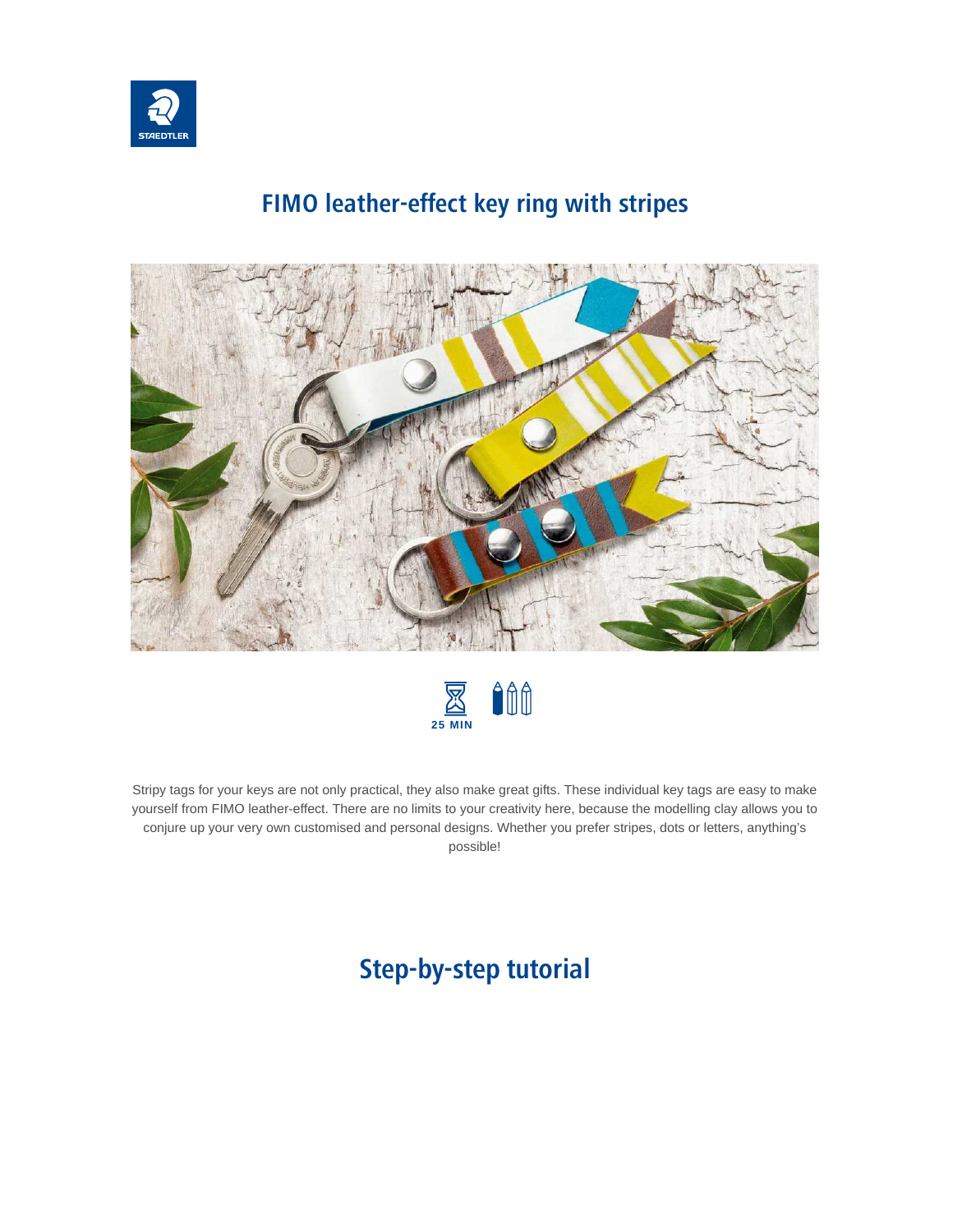

## **FIMO leather-effect key ring with stripes**





Stripy tags for your keys are not only practical, they also make great gifts. These individual key tags are easy to make yourself from FIMO leather-effect. There are no limits to your creativity here, because the modelling clay allows you to conjure up your very own customised and personal designs. Whether you prefer stripes, dots or letters, anything's possible!

# **Step-by-step tutorial**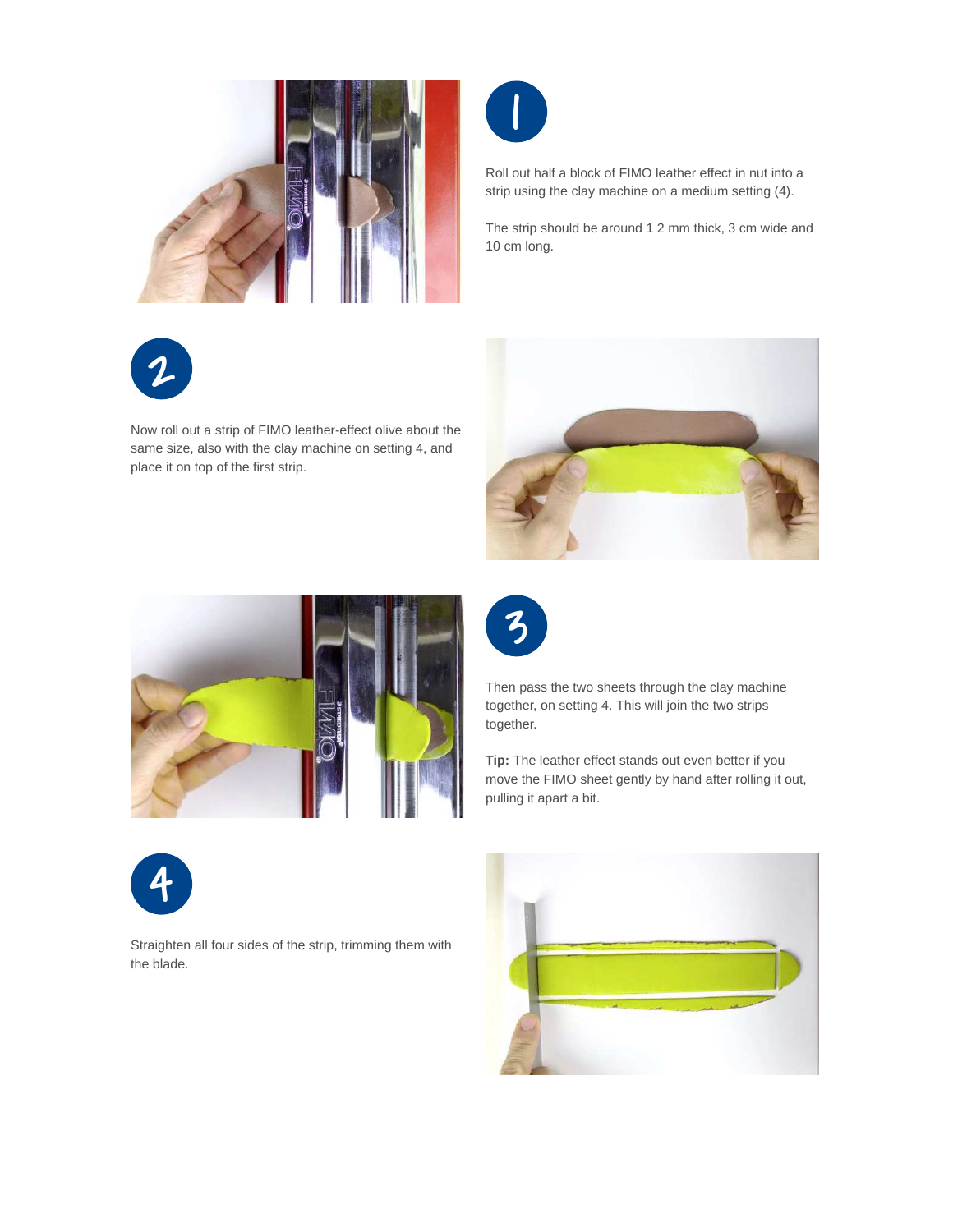



Roll out half a block of FIMO leather effect in nut into a strip using the clay machine on a medium setting (4).

The strip should be around 1 2 mm thick, 3 cm wide and 10 cm long.



Now roll out a strip of FIMO leather-effect olive about the same size, also with the clay machine on setting 4, and place it on top of the first strip.







Then pass the two sheets through the clay machine together, on setting 4. This will join the two strips together.

**Tip:** The leather effect stands out even better if you move the FIMO sheet gently by hand after rolling it out, pulling it apart a bit.



Straighten all four sides of the strip, trimming them with the blade.

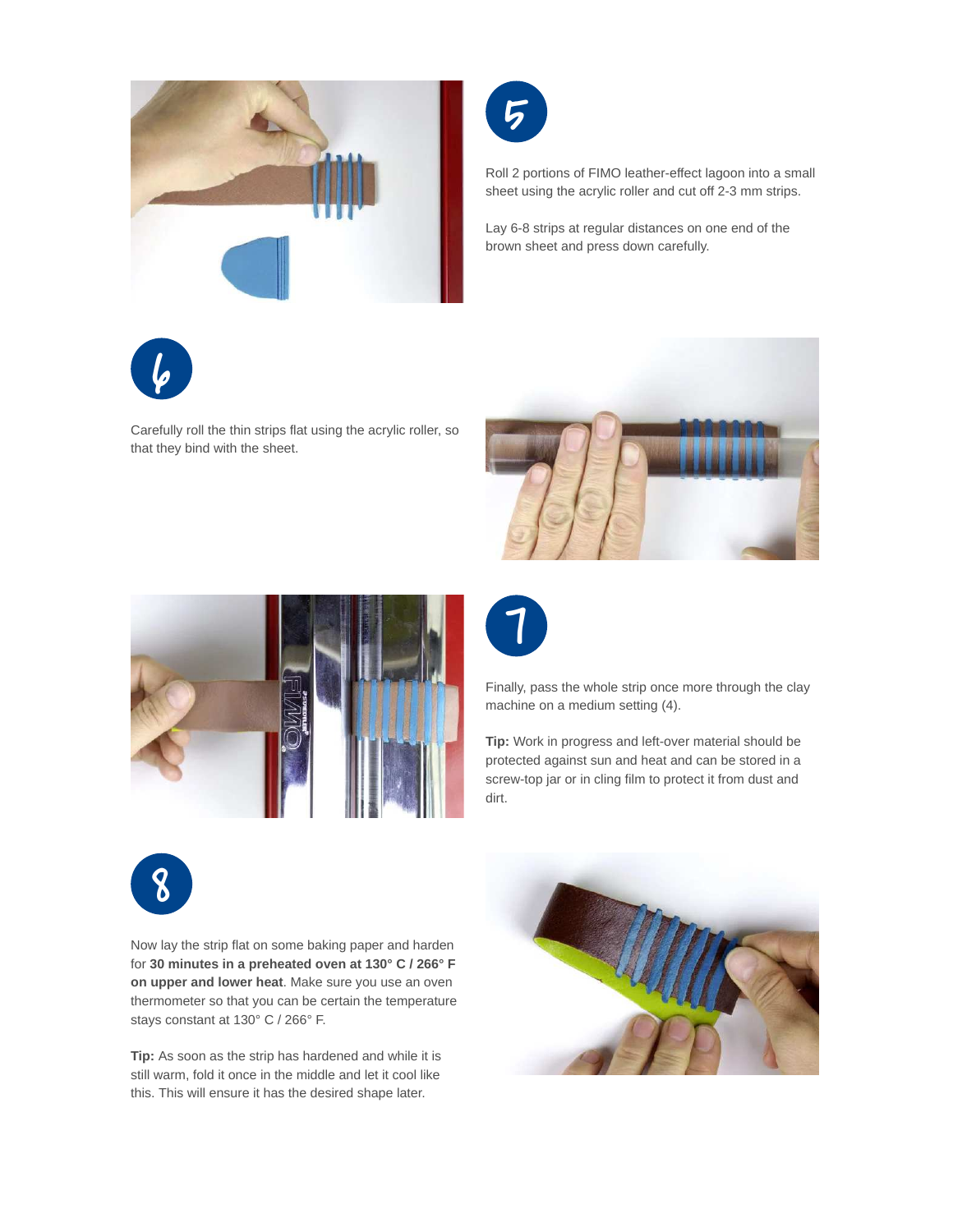



Roll 2 portions of FIMO leather-effect lagoon into a small sheet using the acrylic roller and cut off 2-3 mm strips.

Lay 6-8 strips at regular distances on one end of the brown sheet and press down carefully.



Carefully roll the thin strips flat using the acrylic roller, so that they bind with the sheet.







Finally, pass the whole strip once more through the clay machine on a medium setting (4).

**Tip:** Work in progress and left-over material should be protected against sun and heat and can be stored in a screw-top jar or in cling film to protect it from dust and dirt.



Now lay the strip flat on some baking paper and harden for **30 minutes in a preheated oven at 130° C / 266° F on upper and lower heat**. Make sure you use an oven thermometer so that you can be certain the temperature stays constant at 130° C / 266° F.

**Tip:** As soon as the strip has hardened and while it is still warm, fold it once in the middle and let it cool like this. This will ensure it has the desired shape later.

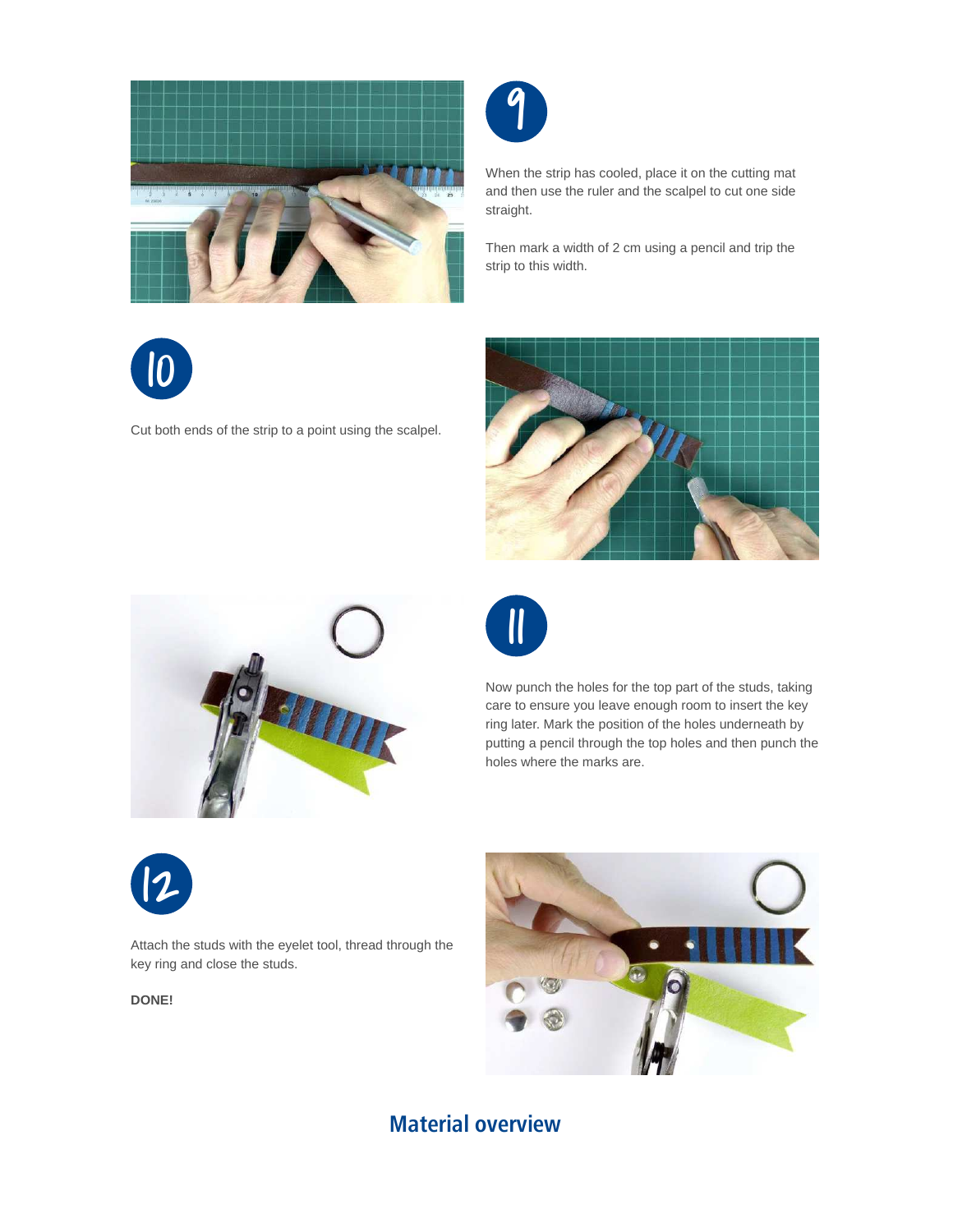



When the strip has cooled, place it on the cutting mat and then use the ruler and the scalpel to cut one side straight.

Then mark a width of 2 cm using a pencil and trip the strip to this width.



Cut both ends of the strip to a point using the scalpel.







Now punch the holes for the top part of the studs, taking care to ensure you leave enough room to insert the key ring later. Mark the position of the holes underneath by putting a pencil through the top holes and then punch the holes where the marks are.



Attach the studs with the eyelet tool, thread through the key ring and close the studs.

#### **DONE!**



## **Material overview**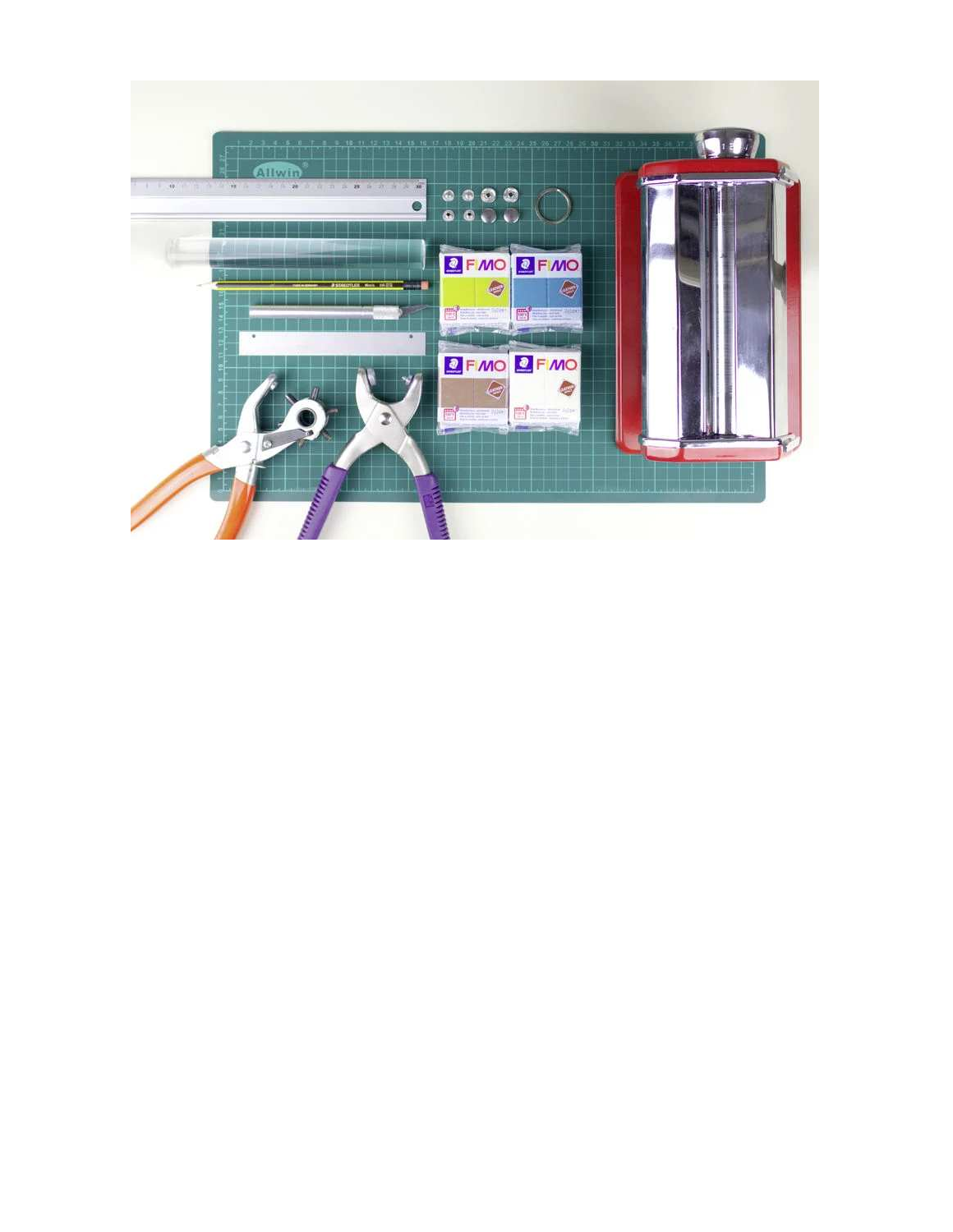